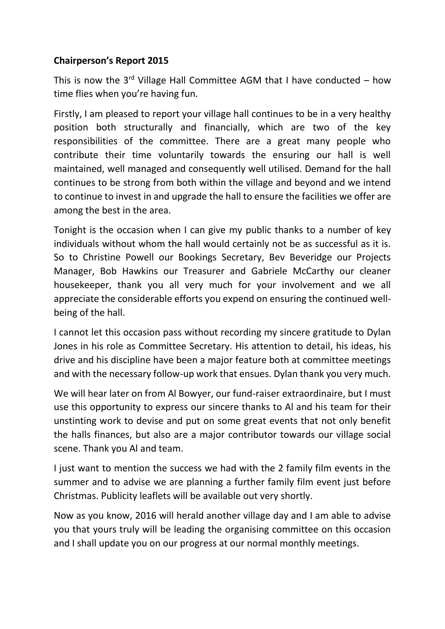## **Chairperson's Report 2015**

This is now the  $3^{rd}$  Village Hall Committee AGM that I have conducted – how time flies when you're having fun.

Firstly, I am pleased to report your village hall continues to be in a very healthy position both structurally and financially, which are two of the key responsibilities of the committee. There are a great many people who contribute their time voluntarily towards the ensuring our hall is well maintained, well managed and consequently well utilised. Demand for the hall continues to be strong from both within the village and beyond and we intend to continue to invest in and upgrade the hall to ensure the facilities we offer are among the best in the area.

Tonight is the occasion when I can give my public thanks to a number of key individuals without whom the hall would certainly not be as successful as it is. So to Christine Powell our Bookings Secretary, Bev Beveridge our Projects Manager, Bob Hawkins our Treasurer and Gabriele McCarthy our cleaner housekeeper, thank you all very much for your involvement and we all appreciate the considerable efforts you expend on ensuring the continued well being of the hall.

I cannot let this occasion pass without recording my sincere gratitude to Dylan Jones in his role as Committee Secretary. His attention to detail, his ideas, his drive and his discipline have been a major feature both at committee meetings and with the necessary follow-up work that ensues. Dylan thank you very much.

We will hear later on from Al Bowyer, our fund-raiser extraordinaire, but I must use this opportunity to express our sincere thanks to Al and his team for their unstinting work to devise and put on some great events that not only benefit the halls finances, but also are a major contributor towards our village social scene. Thank you Al and team.

I just want to mention the success we had with the 2 family film events in the summer and to advise we are planning a further family film event just before Christmas. Publicity leaflets will be available out very shortly.

Now as you know, 2016 will herald another village day and I am able to advise you that yours truly will be leading the organising committee on this occasion and I shall update you on our progress at our normal monthly meetings.